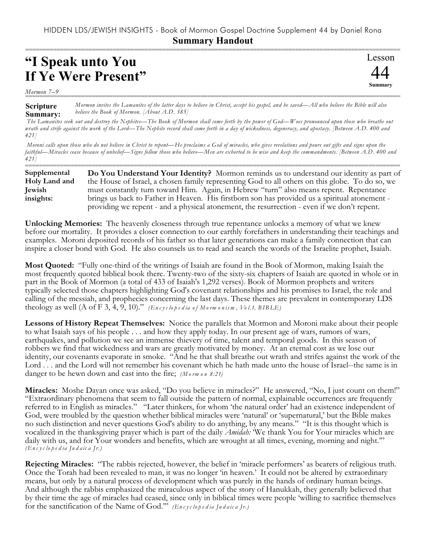## **"I Speak unto You If Ye Were Present"**



*Mormon 7–9* ===========================================================================================================

**Scripture Summary:** *Mormon invites the Lamanites of the latter days to believe in Christ, accept his gospel, and be saved—All who believe the Bible will also believe the Book of Mormon. [About A.D. 385]*

 *The Lamanites seek out and destroy the Nephites—The Book of Mormon shall come forth by the power of God—Woes pronounced upon those who breathe out wrath and strife against the work of the Lord—The Nephite record shall come forth in a day of wickedness, degeneracy, and apostasy. [Between A.D. 400 and 421]*

 *Moroni calls upon those who do not believe in Christ to repent—He proclaims a God of miracles, who gives revelations and pours out gifts and signs upon the faithful—Miracles cease because of unbelief—Signs follow those who believe—Men are exhorted to be wise and keep the commandments. [Between A.D. 400 and 421]*

=========================================================================================================== **Do You Understand Your Identity?** Mormon reminds us to understand our identity as part of the House of Israel, a chosen family representing God to all others on this globe. To do so, we must constantly turn toward Him. Again, in Hebrew "turn" also means repent. Repentance brings us back to Father in Heaven. His firstborn son has provided us a spiritual atonement providing we repent - and a physical atonement, the resurrection - even if we don't repent. **Supplemental Holy Land and Jewish insights:**

**Unlocking Memories:** The heavenly closeness through true repentance unlocks a memory of what we knew before our mortality. It provides a closer connection to our earthly forefathers in understanding their teachings and examples. Moroni deposited records of his father so that later generations can make a family connection that can inspire a closer bond with God. He also counsels us to read and search the words of the Israelite prophet, Isaiah.

**Most Quoted:** "Fully one-third of the writings of Isaiah are found in the Book of Mormon, making Isaiah the most frequently quoted biblical book there. Twenty-two of the sixty-six chapters of Isaiah are quoted in whole or in part in the Book of Mormon (a total of 433 of Isaiah's 1,292 verses). Book of Mormon prophets and writers typically selected those chapters highlighting God's covenant relationships and his promises to Israel, the role and calling of the messiah, and prophecies concerning the last days. These themes are prevalent in contemporary LDS theology as well (A of F 3, 4, 9, 10)." *(En c y c lo p e d ia o f Mo rm o n is m , Vo l.1, BIB LE)*

**Lessons of History Repeat Themselves:** Notice the parallels that Mormon and Moroni make about their people to what Isaiah says of his people . . . and how they apply today. In our present age of wars, rumors of wars, earthquakes, and pollution we see an immense thievery of time, talent and temporal goods. In this season of robbers we find that wickedness and wars are greatly motivated by money. At an eternal cost as we lose our identity, our covenants evaporate in smoke. "And he that shall breathe out wrath and strifes against the work of the Lord . . . and the Lord will not remember his covenant which he hath made unto the house of Israel--the same is in danger to be hewn down and cast into the fire; *(M o rm o n 8:21)*

**Miracles:** Moshe Dayan once was asked, "Do you believe in miracles?" He answered, "No, I just count on them!" "Extraordinary phenomena that seem to fall outside the pattern of normal, explainable occurrences are frequently referred to in English as miracles." "Later thinkers, for whom 'the natural order' had an existence independent of God, were troubled by the question whether biblical miracles were 'natural' or 'supernatural,' but the Bible makes no such distinction and never questions God's ability to do anything, by any means." "It is this thought which is vocalized in the thanksgiving prayer which is part of the daily *Amidah:* 'We thank You for Your miracles which are daily with us, and for Your wonders and benefits, which are wrought at all times, evening, morning and night.'" *(En c y c lo p e d ia Ju d a ic a Jr.)*

**Rejecting Miracles:** "The rabbis rejected, however, the belief in 'miracle performers' as bearers of religious truth. Once the Torah had been revealed to man, it was no longer 'in heaven.' It could not be altered by extraordinary means, but only by a natural process of development which was purely in the hands of ordinary human beings. And although the rabbis emphasized the miraculous aspect of the story of Hanukkah, they generally believed that by their time the age of miracles had ceased, since only in biblical times were people 'willing to sacrifice themselves for the sanctification of the Name of God.'" *(En c y c lo p e d ia Ju d a ic a Jr.)*